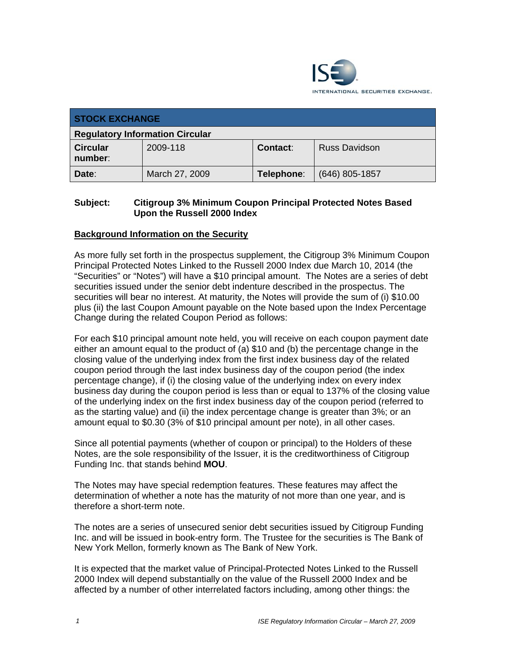

| <b>STOCK EXCHANGE</b>                  |                |            |                      |
|----------------------------------------|----------------|------------|----------------------|
| <b>Regulatory Information Circular</b> |                |            |                      |
| <b>Circular</b><br>number:             | 2009-118       | Contact:   | <b>Russ Davidson</b> |
| Date:                                  | March 27, 2009 | Telephone: | $(646)$ 805-1857     |

### **Subject: Citigroup 3% Minimum Coupon Principal Protected Notes Based Upon the Russell 2000 Index**

#### **Background Information on the Security**

As more fully set forth in the prospectus supplement, the Citigroup 3% Minimum Coupon Principal Protected Notes Linked to the Russell 2000 Index due March 10, 2014 (the "Securities" or "Notes") will have a \$10 principal amount. The Notes are a series of debt securities issued under the senior debt indenture described in the prospectus. The securities will bear no interest. At maturity, the Notes will provide the sum of (i) \$10.00 plus (ii) the last Coupon Amount payable on the Note based upon the Index Percentage Change during the related Coupon Period as follows:

For each \$10 principal amount note held, you will receive on each coupon payment date either an amount equal to the product of (a) \$10 and (b) the percentage change in the closing value of the underlying index from the first index business day of the related coupon period through the last index business day of the coupon period (the index percentage change), if (i) the closing value of the underlying index on every index business day during the coupon period is less than or equal to 137% of the closing value of the underlying index on the first index business day of the coupon period (referred to as the starting value) and (ii) the index percentage change is greater than 3%; or an amount equal to \$0.30 (3% of \$10 principal amount per note), in all other cases.

Since all potential payments (whether of coupon or principal) to the Holders of these Notes, are the sole responsibility of the Issuer, it is the creditworthiness of Citigroup Funding Inc. that stands behind **MOU**.

The Notes may have special redemption features. These features may affect the determination of whether a note has the maturity of not more than one year, and is therefore a short-term note.

The notes are a series of unsecured senior debt securities issued by Citigroup Funding Inc. and will be issued in book-entry form. The Trustee for the securities is The Bank of New York Mellon, formerly known as The Bank of New York.

It is expected that the market value of Principal-Protected Notes Linked to the Russell 2000 Index will depend substantially on the value of the Russell 2000 Index and be affected by a number of other interrelated factors including, among other things: the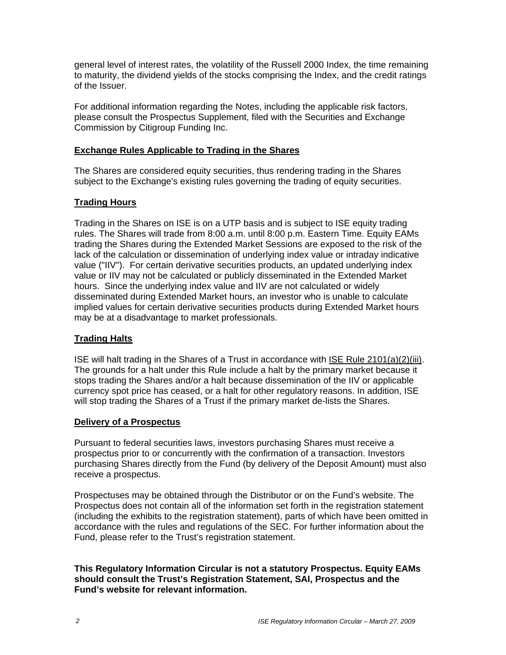general level of interest rates, the volatility of the Russell 2000 Index, the time remaining to maturity, the dividend yields of the stocks comprising the Index, and the credit ratings of the Issuer.

For additional information regarding the Notes, including the applicable risk factors, please consult the Prospectus Supplement, filed with the Securities and Exchange Commission by Citigroup Funding Inc.

### **Exchange Rules Applicable to Trading in the Shares**

The Shares are considered equity securities, thus rendering trading in the Shares subject to the Exchange's existing rules governing the trading of equity securities.

## **Trading Hours**

Trading in the Shares on ISE is on a UTP basis and is subject to ISE equity trading rules. The Shares will trade from 8:00 a.m. until 8:00 p.m. Eastern Time. Equity EAMs trading the Shares during the Extended Market Sessions are exposed to the risk of the lack of the calculation or dissemination of underlying index value or intraday indicative value ("IIV"). For certain derivative securities products, an updated underlying index value or IIV may not be calculated or publicly disseminated in the Extended Market hours. Since the underlying index value and IIV are not calculated or widely disseminated during Extended Market hours, an investor who is unable to calculate implied values for certain derivative securities products during Extended Market hours may be at a disadvantage to market professionals.

## **Trading Halts**

ISE will halt trading in the Shares of a Trust in accordance with ISE Rule 2101(a)(2)(iii). The grounds for a halt under this Rule include a halt by the primary market because it stops trading the Shares and/or a halt because dissemination of the IIV or applicable currency spot price has ceased, or a halt for other regulatory reasons. In addition, ISE will stop trading the Shares of a Trust if the primary market de-lists the Shares.

#### **Delivery of a Prospectus**

Pursuant to federal securities laws, investors purchasing Shares must receive a prospectus prior to or concurrently with the confirmation of a transaction. Investors purchasing Shares directly from the Fund (by delivery of the Deposit Amount) must also receive a prospectus.

Prospectuses may be obtained through the Distributor or on the Fund's website. The Prospectus does not contain all of the information set forth in the registration statement (including the exhibits to the registration statement), parts of which have been omitted in accordance with the rules and regulations of the SEC. For further information about the Fund, please refer to the Trust's registration statement.

#### **This Regulatory Information Circular is not a statutory Prospectus. Equity EAMs should consult the Trust's Registration Statement, SAI, Prospectus and the Fund's website for relevant information.**